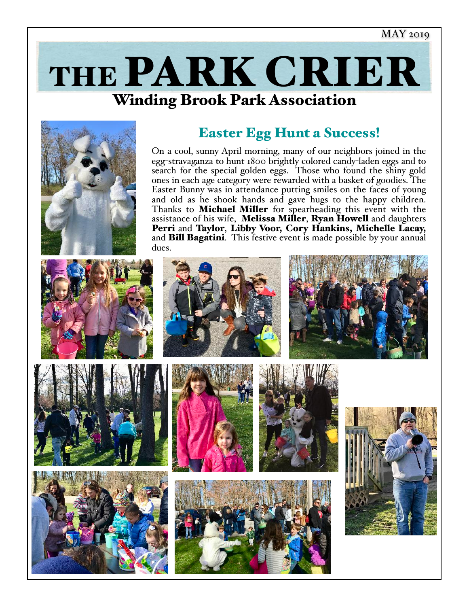# THE PARK CRIER

# Winding Brook Park Association



# Easter Egg Hunt a Success!

On a cool, sunny April morning, many of our neighbors joined in the egg-stravaganza to hunt 1800 brightly colored candy-laden eggs and to search for the special golden eggs. Those who found the shiny gold ones in each age category were rewarded with a basket of goodies. The Easter Bunny was in attendance putting smiles on the faces of young and old as he shook hands and gave hugs to the happy children. Thanks to **Michael Miller** for spearheading this event with the assistance of his wife, Melissa Miller, Ryan Howell and daughters<br>Perri and Taylor, Libby Voor, Cory Hankins, Michelle Lacay, and **Bill Bagatini**. This festive event is made possible by your annual dues.

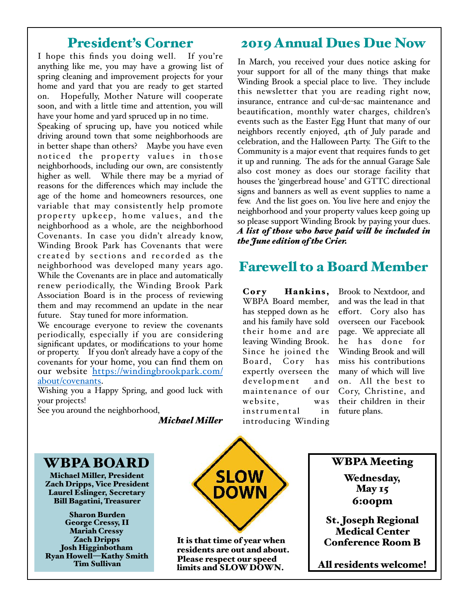## President's Corner

I hope this finds you doing well. If you're anything like me, you may have a growing list of spring cleaning and improvement projects for your home and yard that you are ready to get started on. Hopefully, Mother Nature will cooperate soon, and with a little time and attention, you will have your home and yard spruced up in no time.

Speaking of sprucing up, have you noticed while driving around town that some neighborhoods are in better shape than others? Maybe you have even noticed the property values in those neighborhoods, including our own, are consistently higher as well. While there may be a myriad of reasons for the differences which may include the age of the home and homeowners resources, one variable that may consistently help promote property upkeep, home values, and the neighborhood as a whole, are the neighborhood Covenants. In case you didn't already know, Winding Brook Park has Covenants that were created by sections and recorded as the neighborhood was developed many years ago. While the Covenants are in place and automatically renew periodically, the Winding Brook Park Association Board is in the process of reviewing them and may recommend an update in the near future. Stay tuned for more information.

We encourage everyone to review the covenants periodically, especially if you are considering significant updates, or modifications to your home or property. If you don't already have a copy of the covenants for your home, you can find them on our website https://windingbrookpark.com/ about/covenants.

Wishing you a Happy Spring, and good luck with your projects!

See you around the neighborhood,

*Michael Miler*

# 2019 Annual Dues Due Now

In March, you received your dues notice asking for your support for all of the many things that make Winding Brook a special place to live. They include this newsletter that you are reading right now, insurance, entrance and cul-de-sac maintenance and beautification, monthly water charges, children's events such as the Easter Egg Hunt that many of our neighbors recently enjoyed, 4th of July parade and celebration, and the Halloween Party. The Gift to the Community is a major event that requires funds to get it up and running. The ads for the annual Garage Sale also cost money as does our storage facility that houses the 'gingerbread house' and GTTC directional signs and banners as well as event supplies to name a few. And the list goes on. You live here and enjoy the neighborhood and your property values keep going up so please support Winding Brook by paying your dues. *A list of those who have paid wil be included in the June edition of the Crier.* 

## Farewell to a Board Member

Cory Hankins, WBPA Board member, has stepped down as he and his family have sold their home and are leaving Winding Brook. Since he joined the Board, Cory has expertly overseen the de velopment and maintenance of our website, was instrumental in introducing Winding

Brook to Nextdoor, and and was the lead in that effort. Cory also has overseen our Facebook page. We appreciate all he has done for Winding Brook and will miss his contributions many of which will live on. All the best to Cory, Christine, and their children in their future plans.

#### WBPA BOARD

Michael Miller, President Zach Dripps, Vice President Laurel Eslinger, Secretary Bill Bagatini, Treasurer

Sharon Burden George Cressy, II Mariah Cressy Zach Dripps Josh Higginbotham Ryan Howell—Kathy Smith Tim Sullivan



It is that time of year when residents are out and about. Please respect our speed limits and SLOW DOWN.

WBPA Meeting

Wednesday, May 15 6:00pm

St. Joseph Regional Medical Center Conference Room B

All residents welcome!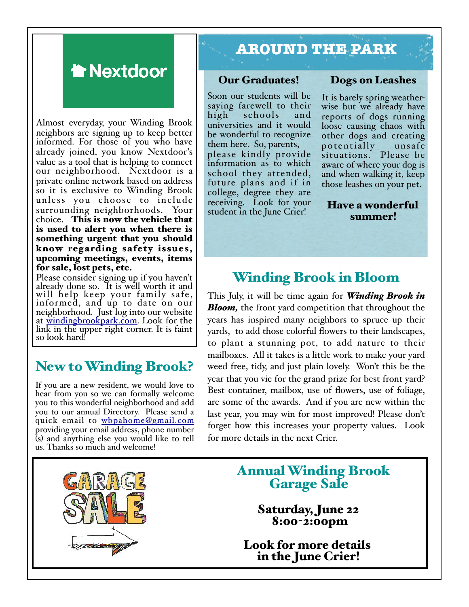

Almost everyday, your Winding Brook neighbors are signing up to keep better informed. For those of you who have already joined, you know Nextdoor's value as a tool that is helping to connect our neighborhood. Nextdoor is a private online network based on address so it is exclusive to Winding Brook unless you choose to include surrounding neighborhoods. Your choice. This is now the vehicle that is used to alert you when there is something urgent that you should know regarding safety issues, upcoming meetings, events, items for sale, lost pets, etc.

Please consider signing up if you haven't already done so. It is well worth it and will help keep your family safe, informed, and up to date on our neighborhood. Just log into our website at windingbrookpark.com. Look for the link in the upper right corner. It is faint so look hard!

## New to Winding Brook?

If you are a new resident, we would love to hear from you so we can formally welcome you to this wonderful neighborhood and add you to our annual Directory. Please send a quick email to wbpahome@gmail.com providing your email address, phone number (s) and anything else you would like to tell us. Thanks so much and welcome!



#### Our Graduates!

Soon our students will be saying farewell to their<br>high schools and schools and universities and it would be wonderful to recognize them here. So, parents, please kindly provide information as to which school they attended, future plans and if in college, degree they are receiving. Look for your student in the June Crier!

#### Dogs on Leashes

It is barely spring weather- wise but we already have reports of dogs running loose causing chaos with other dogs and creating potentially unsafe situations. Please be aware of where your dog is and when walking it, keep those leashes on your pet.

Have a wonderful summer!

#### Winding Brook in Bloom

This July, it will be time again for *Winding Brook in Bloom,* the front yard competition that throughout the years has inspired many neighbors to spruce up their yards, to add those colorful flowers to their landscapes, to plant a stunning pot, to add nature to their mailboxes. All it takes is a little work to make your yard weed free, tidy, and just plain lovely. Won't this be the year that you vie for the grand prize for best front yard? Best container, mailbox, use of flowers, use of foliage, are some of the awards. And if you are new within the last year, you may win for most improved! Please don't forget how this increases your property values. Look for more details in the next Crier.



Annual Winding Brook Garage Sale

Saturday, June 22 8:00-2:00pm

 Look for more details in the June Crier!